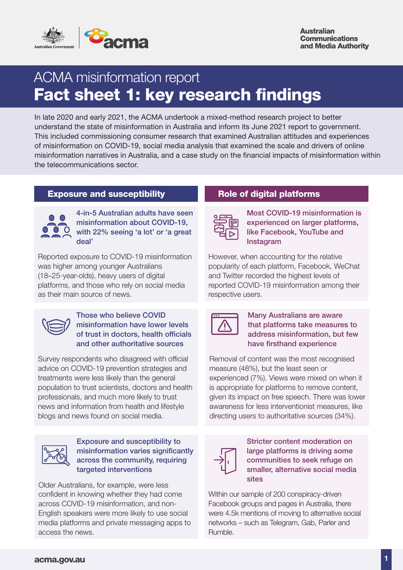

# ACMA misinformation report Fact sheet 1: key research findings

In late 2020 and early 2021, the ACMA undertook a mixed-method research project to better understand the state of misinformation in Australia and inform its June 2021 report to government. This included commissioning consumer research that examined Australian attitudes and experiences of misinformation on COVID-19, social media analysis that examined the scale and drivers of online misinformation narratives in Australia, and a case study on the financial impacts of misinformation within the telecommunications sector.

# Exposure and susceptibility **Role of digital platforms**



4-in-5 Australian adults have seen misinformation about COVID-19, with 22% seeing 'a lot' or 'a great deal'

Reported exposure to COVID-19 misinformation was higher among younger Australians (18–25-year-olds), heavy users of digital platforms, and those who rely on social media as their main source of news.



### Those who believe COVID misinformation have lower levels of trust in doctors, health officials and other authoritative sources

Survey respondents who disagreed with official advice on COVID-19 prevention strategies and treatments were less likely than the general population to trust scientists, doctors and health professionals, and much more likely to trust news and information from health and lifestyle blogs and news found on social media.



#### Exposure and susceptibility to misinformation varies significantly across the community, requiring targeted interventions

Older Australians, for example, were less confident in knowing whether they had come across COVID-19 misinformation, and non-English speakers were more likely to use social media platforms and private messaging apps to access the news.



Most COVID-19 misinformation is experienced on larger platforms, like Facebook, YouTube and Instagram

However, when accounting for the relative popularity of each platform, Facebook, WeChat and Twitter recorded the highest levels of reported COVID-19 misinformation among their respective users.

| - - |  |
|-----|--|
|     |  |
|     |  |
|     |  |
|     |  |

### Many Australians are aware that platforms take measures to address misinformation, but few have firsthand experience

Removal of content was the most recognised measure (48%), but the least seen or experienced (7%). Views were mixed on when it is appropriate for platforms to remove content, given its impact on free speech. There was lower awareness for less interventionist measures, like directing users to authoritative sources (34%).



Stricter content moderation on large platforms is driving some communities to seek refuge on smaller, alternative social media sites

Within our sample of 200 conspiracy-driven Facebook groups and pages in Australia, there were 4.5k mentions of moving to alternative social networks – such as Telegram, Gab, Parler and Rumble.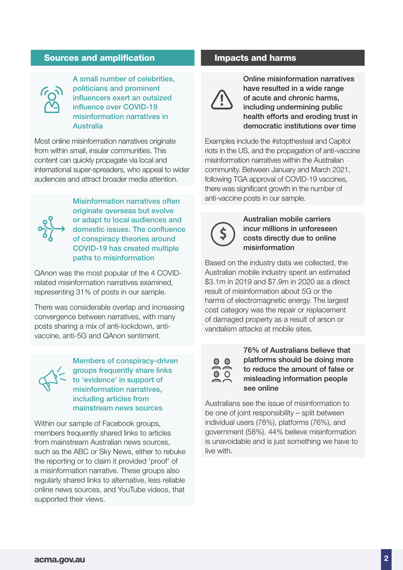## Sources and amplification **Impacts and harms**



A small number of celebrities, politicians and prominent influencers exert an outsized influence over COVID-19 misinformation narratives in Australia

Most online misinformation narratives originate from within small, insular communities. This content can quickly propagate via local and international super-spreaders, who appeal to wider audiences and attract broader media attention.



originate overseas but evolve or adapt to local audiences and domestic issues. The confluence of conspiracy theories around COVID-19 has created multiple paths to misinformation

QAnon was the most popular of the 4 COVIDrelated misinformation narratives examined, representing 31% of posts in our sample.

There was considerable overlap and increasing convergence between narratives, with many posts sharing a mix of anti-lockdown, antivaccine, anti-5G and QAnon sentiment.



Members of conspiracy-driven groups frequently share links to 'evidence' in support of misinformation narratives, including articles from mainstream news sources

Within our sample of Facebook groups, members frequently shared links to articles from mainstream Australian news sources, such as the ABC or Sky News, either to rebuke the reporting or to claim it provided 'proof' of a misinformation narrative. These groups also regularly shared links to alternative, less reliable online news sources, and YouTube videos, that supported their views.



Online misinformation narratives have resulted in a wide range of acute and chronic harms, including undermining public health efforts and eroding trust in democratic institutions over time

Examples include the #stopthesteal and Capitol riots in the US, and the propagation of anti-vaccine misinformation narratives within the Australian community. Between January and March 2021, following TGA approval of COVID-19 vaccines, there was significant growth in the number of Misinformation narratives often anti-vaccine posts in our sample.



Australian mobile carriers incur millions in unforeseen costs directly due to online misinformation

Based on the industry data we collected, the Australian mobile industry spent an estimated \$3.1m in 2019 and \$7.9m in 2020 as a direct result of misinformation about 5G or the harms of electromagnetic energy. The largest cost category was the repair or replacement of damaged property as a result of arson or vandalism attacks at mobile sites.



76% of Australians believe that platforms should be doing more to reduce the amount of false or misleading information people see online

Australians see the issue of misinformation to be one of joint responsibility – split between individual users (78%), platforms (76%), and government (58%). 44% believe misinformation is unavoidable and is just something we have to live with.